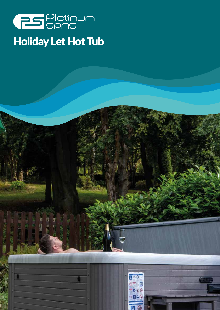

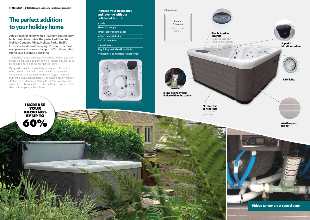## The perfect addition to your holiday home

Increase your occupancy and revenue with our holiday let hot tub:

**5 seats**

**Minimalist design**

**Tamper proof control panel**

**In-line chemical dosing**

**HSG282 compliant**

**Quick draining**

**Plug & Play and 32AMP available**

**No headrests or diverters to get broken**

Hidden tamper proof control panel

Dimensions:

**Add a touch of luxury with a Platinum Spas holiday let hot tub. A hot tub is the perfect addition for Holiday Cottages, Villas, Holiday Parks, B&B's, Luxury Retreats and Glamping. Proven to increase occupancy and revenue by up to 60%, adding a hot tub to your business is essential.** 

> **Weatherproof** cabinet

The holiday let hot tub seats five people with 40 jets and meets the HSG282 guidelines which enable businesses to be able to offer a hot tub for financial gains.

Designed purely for the holiday let market this hot tub offers a basic layout with no breakable or removable components and designed for heavy usage. The robust but minimalistic design perfectly complements any garden, decking or outdoor area. Plus, add our WiFi module and monitor the status and access the settings of your hot tub directly from your mobile phone.

> In-line dosing system hidden within the cabinet

> > No diverters or headrests Less parts to get broken.

Simple topside controls

Stops the user from changing the settings.



5 seats + 1 lounger

2000 x 2000 x 900mm

**INCREASE YOUR BOOKINGS BY UP TO**

**60%**

LED lights





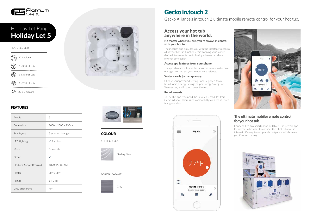

# Holiday Let 5 Holiday Let Range

### FEATURES

| People                     | 5                   |
|----------------------------|---------------------|
| Dimensions                 | 2000 x 2000 x 900mm |
| Seat layout                | 5 seats + 1 lounger |
| <b>LED Lighting</b>        | $\sqrt{}$ Premium   |
| <b>Music</b>               | Bluetooth           |
| Ozone                      | ✓                   |
| Electrical Supply Required | 13 AMP / 32 AMP     |
| Heater                     | 2kw / 3kw           |
| Pumps                      | $1 \times 3$ HP     |
| Circulation Pump           | N/A                 |





**COLOUR** 

SHELL COLOUR



Sterling Silver

#### FEATURED JETS

| ್ದಂ | 40 Total Jets     |
|-----|-------------------|
|     | 8 x 3.5 inch Jets |
|     | 2 x 3.5 inch Jets |
|     | 2 x 2.5 inch Jets |
|     | 28 x 1 inch Jets  |

#### CABINET COLOUR



# Gecko in.touch 2

Gecko Alliance's in.touch 2 ultimate mobile remote control for your hot tub.

### Access your hot tub anywhere in the world.

#### **No matter where you are, you're always in control with your hot tub.**

The in.touch app provides you with the interface to control all of your hot tub functions, transforming your mobile device into a remote control using wireless or cellular Internet connection.

#### Access spa features from your phone:

The app allows you to use the industry's easiest water care management and set your temperature settings.

### Water care is just a tap away:

Choose your preferred setting from Beginner, Away from Home, Energy Savings, Super Energy Savings or Weekender, and in.touch does the rest.

#### Requirements:

To use this app, you need the in.touch 2 modules from Gecko Alliance. There is no compatibility with the in.touch first generation.





### The ultimate mobile remote control for your hot tub

Connect it to any smartphone or tablet. The perfect app for owners who want to connect their hot tubs to the internet. It's easy to setup and configure – which saves you time and money.

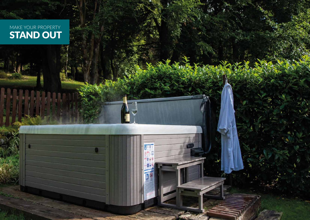MAKE YOUR PROPERTY STAND OUT



**Nxei** 

أكح . D

 $0.61$